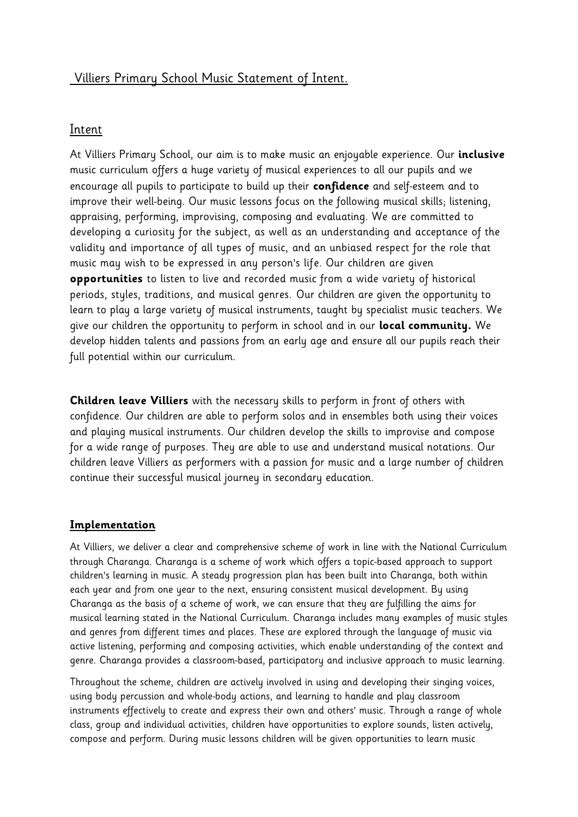### Villiers Primary School Music Statement of Intent.

### Intent

At Villiers Primary School, our aim is to make music an enjoyable experience. Our **inclusive**  music curriculum offers a huge variety of musical experiences to all our pupils and we encourage all pupils to participate to build up their **confidence** and self-esteem and to improve their well-being. Our music lessons focus on the following musical skills; listening, appraising, performing, improvising, composing and evaluating. We are committed to developing a curiosity for the subject, as well as an understanding and acceptance of the validity and importance of all types of music, and an unbiased respect for the role that music may wish to be expressed in any person's life. Our children are given **opportunities** to listen to live and recorded music from a wide variety of historical periods, styles, traditions, and musical genres. Our children are given the opportunity to learn to play a large variety of musical instruments, taught by specialist music teachers. We give our children the opportunity to perform in school and in our **local community.** We develop hidden talents and passions from an early age and ensure all our pupils reach their full potential within our curriculum.

**Children leave Villiers** with the necessary skills to perform in front of others with confidence. Our children are able to perform solos and in ensembles both using their voices and playing musical instruments. Our children develop the skills to improvise and compose for a wide range of purposes. They are able to use and understand musical notations. Our children leave Villiers as performers with a passion for music and a large number of children continue their successful musical journey in secondary education.

### **Implementation**

At Villiers, we deliver a clear and comprehensive scheme of work in line with the National Curriculum through Charanga. Charanga is a scheme of work which offers a topic-based approach to support children's learning in music. A steady progression plan has been built into Charanga, both within each year and from one year to the next, ensuring consistent musical development. By using Charanga as the basis of a scheme of work, we can ensure that they are fulfilling the aims for musical learning stated in the National Curriculum. Charanga includes many examples of music styles and genres from different times and places. These are explored through the language of music via active listening, performing and composing activities, which enable understanding of the context and genre. Charanga provides a classroom-based, participatory and inclusive approach to music learning.

Throughout the scheme, children are actively involved in using and developing their singing voices, using body percussion and whole-body actions, and learning to handle and play classroom instruments effectively to create and express their own and others' music. Through a range of whole class, group and individual activities, children have opportunities to explore sounds, listen actively, compose and perform. During music lessons children will be given opportunities to learn music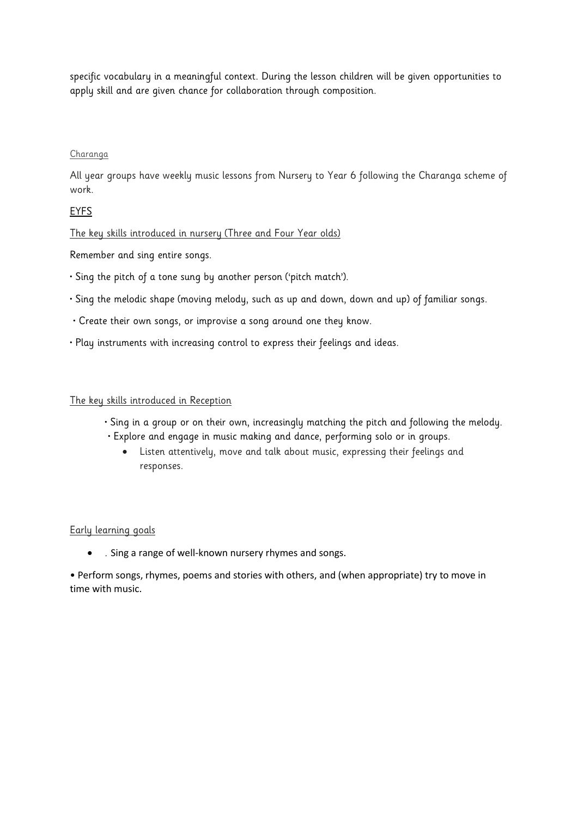specific vocabulary in a meaningful context. During the lesson children will be given opportunities to apply skill and are given chance for collaboration through composition.

#### Charanga

All year groups have weekly music lessons from Nursery to Year 6 following the Charanga scheme of work.

### EYFS

### The key skills introduced in nursery (Three and Four Year olds)

Remember and sing entire songs.

- Sing the pitch of a tone sung by another person ('pitch match').
- Sing the melodic shape (moving melody, such as up and down, down and up) of familiar songs.
- Create their own songs, or improvise a song around one they know.
- Play instruments with increasing control to express their feelings and ideas.

#### The key skills introduced in Reception

- Sing in a group or on their own, increasingly matching the pitch and following the melody.
- Explore and engage in music making and dance, performing solo or in groups.
	- Listen attentively, move and talk about music, expressing their feelings and responses.

#### Early learning goals

. Sing a range of well-known nursery rhymes and songs.

• Perform songs, rhymes, poems and stories with others, and (when appropriate) try to move in time with music.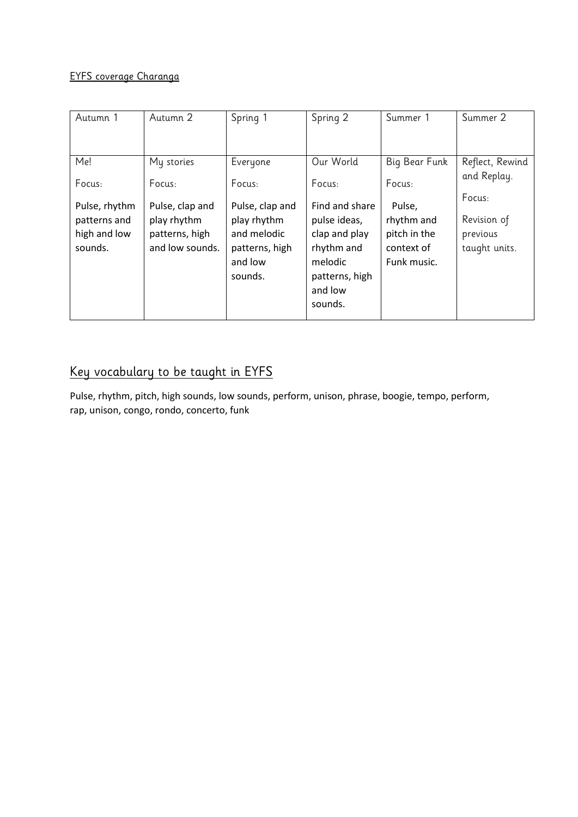### EYFS coverage Charanga

| Autumn 1                                                 | Autumn 2                                                            | Spring 1                                                                              | Spring 2                                                                                                         | Summer 1                                                          | Summer 2                                           |
|----------------------------------------------------------|---------------------------------------------------------------------|---------------------------------------------------------------------------------------|------------------------------------------------------------------------------------------------------------------|-------------------------------------------------------------------|----------------------------------------------------|
|                                                          |                                                                     |                                                                                       |                                                                                                                  |                                                                   |                                                    |
| Me!                                                      | My stories                                                          | Everyone                                                                              | Our World                                                                                                        | Big Bear Funk                                                     | Reflect, Rewind                                    |
| Focus:                                                   | Focus:                                                              | Focus:                                                                                | Focus:                                                                                                           | Focus:                                                            | and Replay.                                        |
| Pulse, rhythm<br>patterns and<br>high and low<br>sounds. | Pulse, clap and<br>play rhythm<br>patterns, high<br>and low sounds. | Pulse, clap and<br>play rhythm<br>and melodic<br>patterns, high<br>and low<br>sounds. | Find and share<br>pulse ideas,<br>clap and play<br>rhythm and<br>melodic<br>patterns, high<br>and low<br>sounds. | Pulse,<br>rhythm and<br>pitch in the<br>context of<br>Funk music. | Focus:<br>Revision of<br>previous<br>taught units. |

# Key vocabulary to be taught in EYFS

Pulse, rhythm, pitch, high sounds, low sounds, perform, unison, phrase, boogie, tempo, perform, rap, unison, congo, rondo, concerto, funk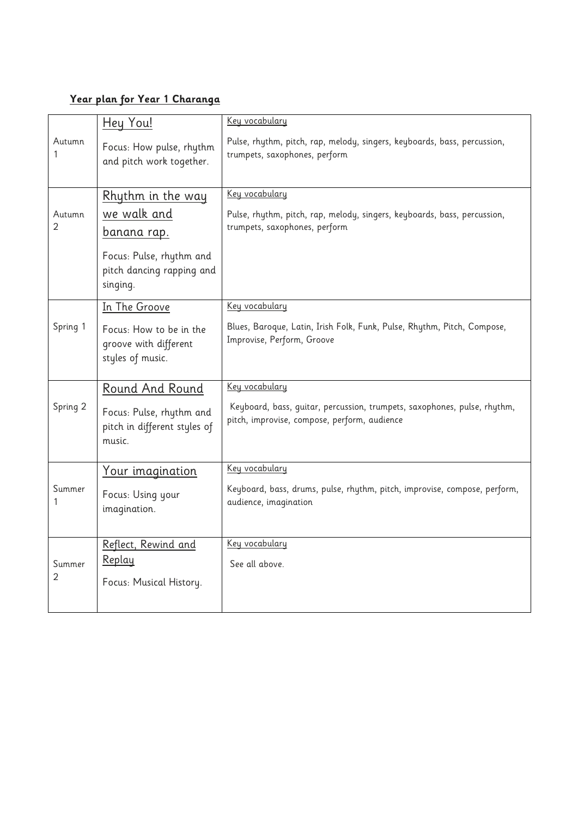### **Year plan for Year 1 Charanga**

|                          | <u>Hey You!</u>                                                      | Key vocabulary                                                                                                           |
|--------------------------|----------------------------------------------------------------------|--------------------------------------------------------------------------------------------------------------------------|
| Autumn<br>1              | Focus: How pulse, rhythm<br>and pitch work together.                 | Pulse, rhythm, pitch, rap, melody, singers, keyboards, bass, percussion,<br>trumpets, saxophones, perform                |
|                          | Rhythm in the way                                                    | Key vocabulary                                                                                                           |
| Autumn<br>$\overline{2}$ | we walk and<br><u>banana rap.</u>                                    | Pulse, rhythm, pitch, rap, melody, singers, keyboards, bass, percussion,<br>trumpets, saxophones, perform                |
|                          | Focus: Pulse, rhythm and<br>pitch dancing rapping and<br>singing.    |                                                                                                                          |
|                          | In The Groove                                                        | Key vocabulary                                                                                                           |
| Spring 1                 | Focus: How to be in the<br>groove with different<br>styles of music. | Blues, Baroque, Latin, Irish Folk, Funk, Pulse, Rhythm, Pitch, Compose,<br>Improvise, Perform, Groove                    |
|                          | Round And Round                                                      | Key vocabulary                                                                                                           |
| Spring 2                 | Focus: Pulse, rhythm and<br>pitch in different styles of<br>music.   | Keyboard, bass, guitar, percussion, trumpets, saxophones, pulse, rhythm,<br>pitch, improvise, compose, perform, audience |
|                          | <u>Your imagination</u>                                              | Key vocabulary                                                                                                           |
| Summer                   | Focus: Using your<br>imagination.                                    | Keyboard, bass, drums, pulse, rhythm, pitch, improvise, compose, perform,<br>audience, imagination                       |
|                          | Reflect, Rewind and                                                  | Key vocabulary                                                                                                           |
| Summer                   | <u>Replay</u>                                                        | See all above.                                                                                                           |
| 2                        | Focus: Musical History.                                              |                                                                                                                          |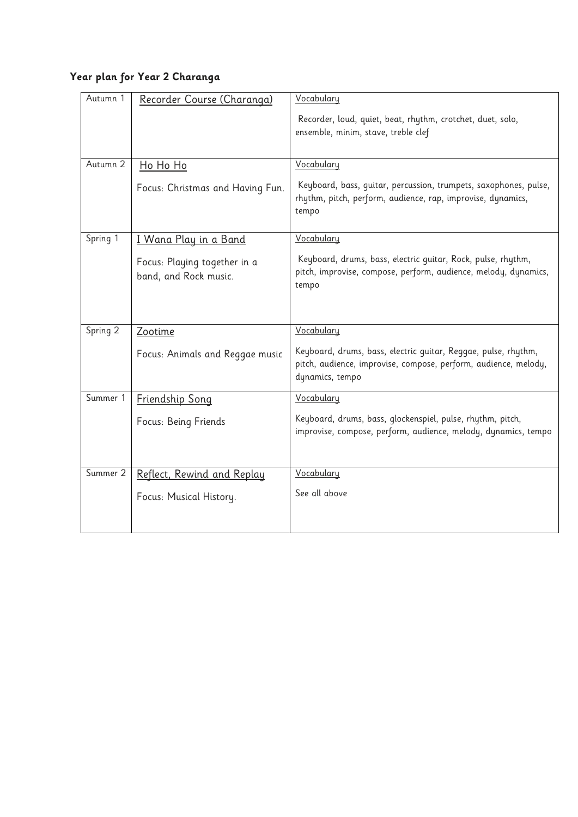## **Year plan for Year 2 Charanga**

| Autumn 1 | Recorder Course (Charanga)                            | Vocabulary                                                                                                                                           |
|----------|-------------------------------------------------------|------------------------------------------------------------------------------------------------------------------------------------------------------|
|          |                                                       | Recorder, loud, quiet, beat, rhythm, crotchet, duet, solo,<br>ensemble, minim, stave, treble clef                                                    |
| Autumn 2 | Ho Ho Ho                                              | Vocabulary                                                                                                                                           |
|          | Focus: Christmas and Having Fun.                      | Keyboard, bass, quitar, percussion, trumpets, saxophones, pulse,<br>rhythm, pitch, perform, audience, rap, improvise, dynamics,<br>tempo             |
| Spring 1 | I Wana Play in a Band                                 | Vocabulary                                                                                                                                           |
|          | Focus: Playing together in a<br>band, and Rock music. | Keyboard, drums, bass, electric quitar, Rock, pulse, rhythm,<br>pitch, improvise, compose, perform, audience, melody, dynamics,<br>tempo             |
| Spring 2 | Zootime                                               | Vocabulary                                                                                                                                           |
|          | Focus: Animals and Reggae music                       | Keyboard, drums, bass, electric guitar, Reggae, pulse, rhythm,<br>pitch, audience, improvise, compose, perform, audience, melody,<br>dynamics, tempo |
| Summer 1 | Friendship Song                                       | Vocabulary                                                                                                                                           |
|          | Focus: Being Friends                                  | Keyboard, drums, bass, glockenspiel, pulse, rhythm, pitch,<br>improvise, compose, perform, audience, melody, dynamics, tempo                         |
| Summer 2 | Reflect, Rewind and Replay                            | Vocabulary                                                                                                                                           |
|          | Focus: Musical History.                               | See all above                                                                                                                                        |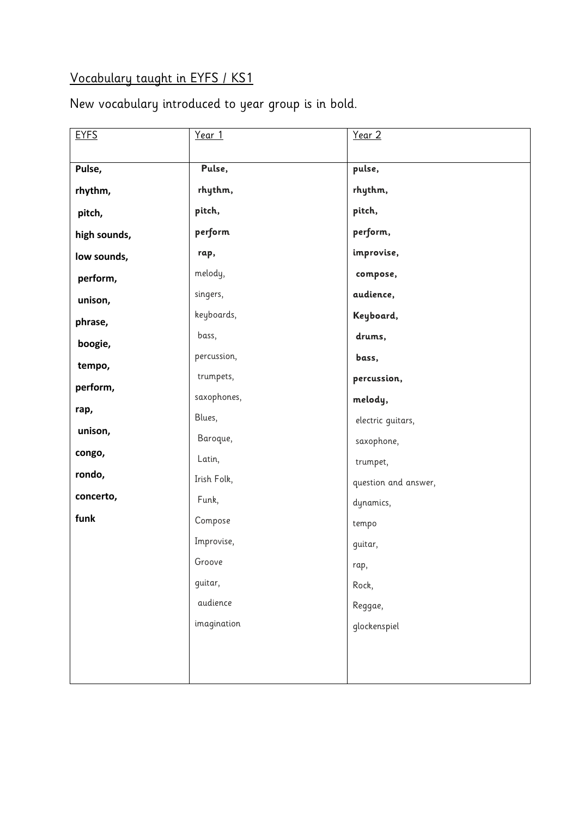# Vocabulary taught in EYFS / KS1

New vocabulary introduced to year group is in bold.

| <b>EYFS</b>  | Year 1      | Year 2               |
|--------------|-------------|----------------------|
|              |             |                      |
| Pulse,       | Pulse,      | pulse,               |
| rhythm,      | rhythm,     | rhythm,              |
| pitch,       | pitch,      | pitch,               |
| high sounds, | perform     | perform,             |
| low sounds,  | rap,        | improvise,           |
| perform,     | melody,     | compose,             |
| unison,      | singers,    | audience,            |
| phrase,      | keyboards,  | Keyboard,            |
| boogie,      | bass,       | drums,               |
| tempo,       | percussion, | bass,                |
| perform,     | trumpets,   | percussion,          |
|              | saxophones, | melody,              |
| rap,         | Blues,      | electric guitars,    |
| unison,      | Baroque,    | saxophone,           |
| congo,       | Latin,      | trumpet,             |
| rondo,       | Irish Folk, | question and answer, |
| concerto,    | Funk,       | dynamics,            |
| funk         | Compose     | tempo                |
|              | Improvise,  | guitar,              |
|              | Groove      | rap,                 |
|              | guitar,     | Rock,                |
|              | audience    | Reggae,              |
|              | imagination | glockenspiel         |
|              |             |                      |
|              |             |                      |
|              |             |                      |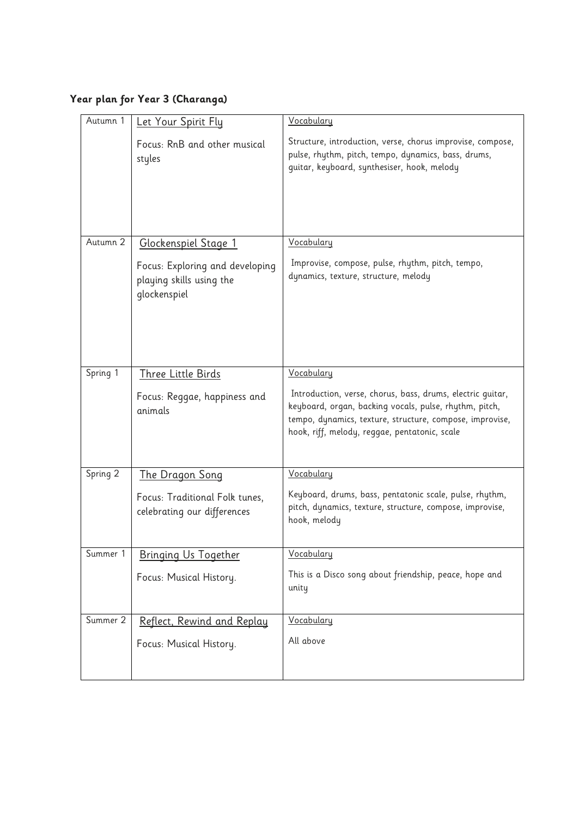# **Year plan for Year 3 (Charanga)**

| Autumn 1 | Let Your Spirit Fly                                                         | Vocabulary                                                                                                                                                                                                                        |
|----------|-----------------------------------------------------------------------------|-----------------------------------------------------------------------------------------------------------------------------------------------------------------------------------------------------------------------------------|
|          | Focus: RnB and other musical<br>styles                                      | Structure, introduction, verse, chorus improvise, compose,<br>pulse, rhythm, pitch, tempo, dynamics, bass, drums,<br>guitar, keyboard, synthesiser, hook, melody                                                                  |
| Autumn 2 | Glockenspiel Stage 1                                                        | Vocabulary                                                                                                                                                                                                                        |
|          | Focus: Exploring and developing<br>playing skills using the<br>glockenspiel | Improvise, compose, pulse, rhythm, pitch, tempo,<br>dynamics, texture, structure, melody                                                                                                                                          |
|          |                                                                             |                                                                                                                                                                                                                                   |
| Spring 1 | <b>Three Little Birds</b>                                                   | Vocabulary                                                                                                                                                                                                                        |
|          | Focus: Reggae, happiness and<br>animals                                     | Introduction, verse, chorus, bass, drums, electric guitar,<br>keyboard, organ, backing vocals, pulse, rhythm, pitch,<br>tempo, dynamics, texture, structure, compose, improvise,<br>hook, riff, melody, reggae, pentatonic, scale |
| Spring 2 | The Dragon Song                                                             | Vocabulary                                                                                                                                                                                                                        |
|          | Focus: Traditional Folk tunes,<br>celebrating our differences               | Keyboard, drums, bass, pentatonic scale, pulse, rhythm,<br>pitch, dynamics, texture, structure, compose, improvise,<br>hook, melody                                                                                               |
| Summer 1 | <b>Bringing Us Together</b>                                                 | Vocabulary                                                                                                                                                                                                                        |
|          | Focus: Musical History.                                                     | This is a Disco song about friendship, peace, hope and<br>unity                                                                                                                                                                   |
| Summer 2 | Reflect, Rewind and Replay                                                  | Vocabulary                                                                                                                                                                                                                        |
|          | Focus: Musical History.                                                     | All above                                                                                                                                                                                                                         |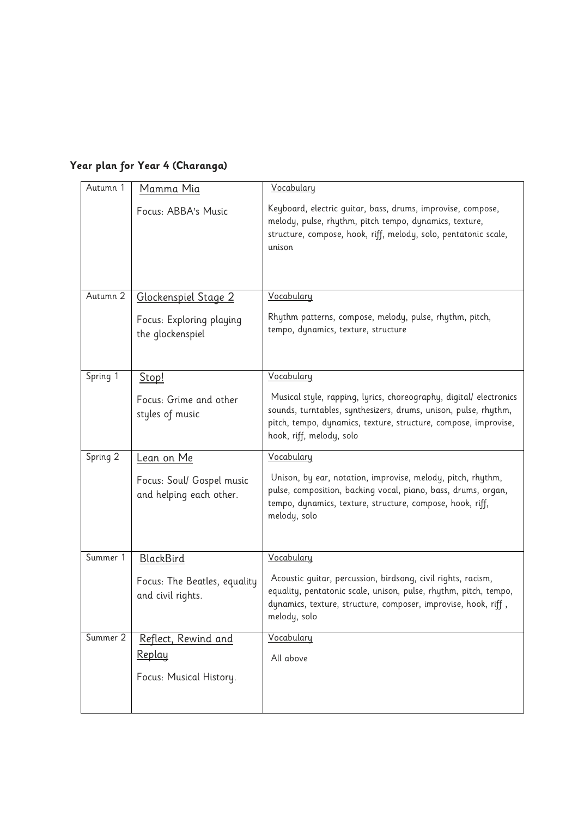| Autumn 1 | Mamma Mia                                            | Vocabulary                                                                                                                                                                                                                           |
|----------|------------------------------------------------------|--------------------------------------------------------------------------------------------------------------------------------------------------------------------------------------------------------------------------------------|
|          | Focus: ABBA's Music                                  | Keyboard, electric quitar, bass, drums, improvise, compose,<br>melody, pulse, rhythm, pitch tempo, dynamics, texture,<br>structure, compose, hook, riff, melody, solo, pentatonic scale,<br>unison                                   |
| Autumn 2 | Glockenspiel Stage 2                                 | Vocabulary                                                                                                                                                                                                                           |
|          | Focus: Exploring playing<br>the glockenspiel         | Rhythm patterns, compose, melody, pulse, rhythm, pitch,<br>tempo, dynamics, texture, structure                                                                                                                                       |
| Spring 1 | Stop!                                                | Vocabulary                                                                                                                                                                                                                           |
|          | Focus: Grime and other<br>styles of music            | Musical style, rapping, lyrics, choreography, digital/ electronics<br>sounds, turntables, synthesizers, drums, unison, pulse, rhythm,<br>pitch, tempo, dynamics, texture, structure, compose, improvise,<br>hook, riff, melody, solo |
| Spring 2 | <u>Lean on Me</u>                                    | Vocabulary                                                                                                                                                                                                                           |
|          | Focus: Soul/ Gospel music<br>and helping each other. | Unison, by ear, notation, improvise, melody, pitch, rhythm,<br>pulse, composition, backing vocal, piano, bass, drums, organ,<br>tempo, dynamics, texture, structure, compose, hook, riff,<br>melody, solo                            |
| Summer 1 | <b>BlackBird</b>                                     | Vocabulary                                                                                                                                                                                                                           |
|          | Focus: The Beatles, equality<br>and civil rights.    | Acoustic guitar, percussion, birdsong, civil rights, racism,<br>equality, pentatonic scale, unison, pulse, rhythm, pitch, tempo,<br>dynamics, texture, structure, composer, improvise, hook, riff,<br>melody, solo                   |
| Summer 2 | Reflect, Rewind and                                  | Vocabulary                                                                                                                                                                                                                           |
|          | <u>Replay</u>                                        | All above                                                                                                                                                                                                                            |
|          | Focus: Musical History.                              |                                                                                                                                                                                                                                      |

## **Year plan for Year 4 (Charanga)**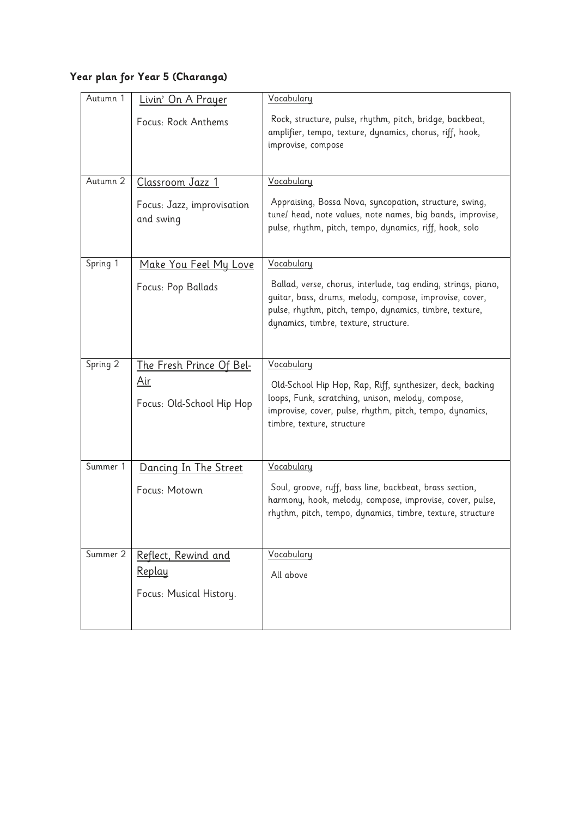## **Year plan for Year 5 (Charanga)**

| Autumn 1 | Livin' On A Prayer                      | Vocabulary                                                                                                               |
|----------|-----------------------------------------|--------------------------------------------------------------------------------------------------------------------------|
|          | Focus: Rock Anthems                     | Rock, structure, pulse, rhythm, pitch, bridge, backbeat,                                                                 |
|          |                                         | amplifier, tempo, texture, dynamics, chorus, riff, hook,<br>improvise, compose                                           |
|          |                                         |                                                                                                                          |
| Autumn 2 | Classroom Jazz 1                        | Vocabulary                                                                                                               |
|          |                                         | Appraising, Bossa Nova, syncopation, structure, swing,                                                                   |
|          | Focus: Jazz, improvisation<br>and swing | tune/ head, note values, note names, big bands, improvise,                                                               |
|          |                                         | pulse, rhythm, pitch, tempo, dynamics, riff, hook, solo                                                                  |
|          |                                         |                                                                                                                          |
| Spring 1 | <u>Make You Feel My Love</u>            | Vocabulary                                                                                                               |
|          | Focus: Pop Ballads                      | Ballad, verse, chorus, interlude, tag ending, strings, piano,<br>guitar, bass, drums, melody, compose, improvise, cover, |
|          |                                         | pulse, rhythm, pitch, tempo, dynamics, timbre, texture,                                                                  |
|          |                                         | dynamics, timbre, texture, structure.                                                                                    |
|          |                                         |                                                                                                                          |
| Spring 2 | <u>The Fresh Prince Of Bel-</u>         | Vocabulary                                                                                                               |
|          | <u>Air</u>                              | Old-School Hip Hop, Rap, Riff, synthesizer, deck, backing                                                                |
|          | Focus: Old-School Hip Hop               | loops, Funk, scratching, unison, melody, compose,<br>improvise, cover, pulse, rhythm, pitch, tempo, dynamics,            |
|          |                                         | timbre, texture, structure                                                                                               |
|          |                                         |                                                                                                                          |
| Summer 1 | Dancing In The Street                   | Vocabulary                                                                                                               |
|          | Focus: Motown                           | Soul, groove, ruff, bass line, backbeat, brass section,                                                                  |
|          |                                         | harmony, hook, melody, compose, improvise, cover, pulse,                                                                 |
|          |                                         | rhythm, pitch, tempo, dynamics, timbre, texture, structure                                                               |
|          |                                         |                                                                                                                          |
| Summer 2 | Reflect, Rewind and                     | Vocabulary                                                                                                               |
|          | Replay                                  | All above                                                                                                                |
|          | Focus: Musical History.                 |                                                                                                                          |
|          |                                         |                                                                                                                          |
|          |                                         |                                                                                                                          |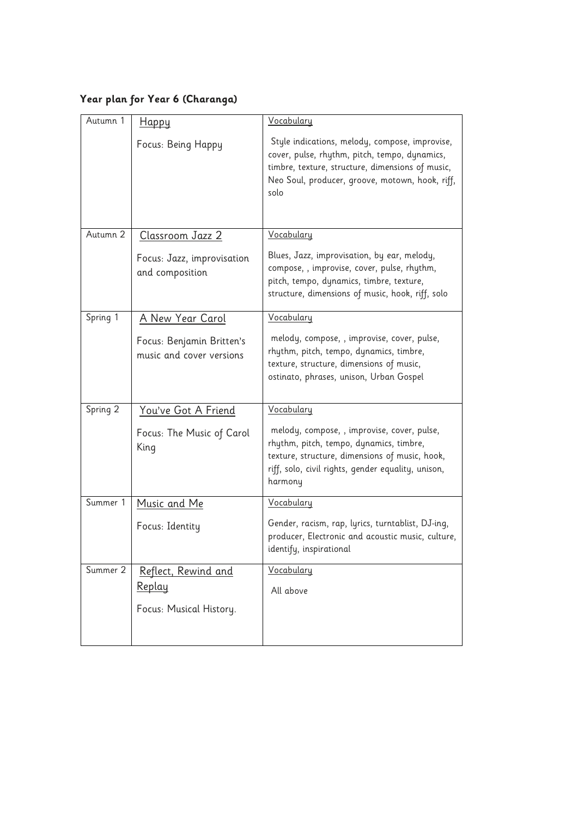# **Year plan for Year 6 (Charanga)**

| Autumn 1 | <u>Happy</u>                                          | Vocabulary                                                                                                                                                                                                     |
|----------|-------------------------------------------------------|----------------------------------------------------------------------------------------------------------------------------------------------------------------------------------------------------------------|
|          | Focus: Being Happy                                    | Style indications, melody, compose, improvise,<br>cover, pulse, rhythm, pitch, tempo, dynamics,<br>timbre, texture, structure, dimensions of music,<br>Neo Soul, producer, groove, motown, hook, riff,<br>solo |
| Autumn 2 | Classroom Jazz 2                                      | Vocabulary                                                                                                                                                                                                     |
|          | Focus: Jazz, improvisation<br>and composition         | Blues, Jazz, improvisation, by ear, melody,<br>compose, , improvise, cover, pulse, rhythm,<br>pitch, tempo, dynamics, timbre, texture,<br>structure, dimensions of music, hook, riff, solo                     |
| Spring 1 | <u>A New Year Carol</u>                               | Vocabulary                                                                                                                                                                                                     |
|          | Focus: Benjamin Britten's<br>music and cover versions | melody, compose, , improvise, cover, pulse,<br>rhythm, pitch, tempo, dynamics, timbre,<br>texture, structure, dimensions of music,<br>ostinato, phrases, unison, Urban Gospel                                  |
| Spring 2 | You've Got A Friend                                   | Vocabulary                                                                                                                                                                                                     |
|          | Focus: The Music of Carol<br>King                     | melody, compose, , improvise, cover, pulse,<br>rhythm, pitch, tempo, dynamics, timbre,<br>texture, structure, dimensions of music, hook,<br>riff, solo, civil rights, gender equality, unison,<br>harmony      |
| Summer 1 | Music and Me                                          | Vocabulary                                                                                                                                                                                                     |
|          | Focus: Identity                                       | Gender, racism, rap, lyrics, turntablist, DJ-ing,<br>producer, Electronic and acoustic music, culture,<br>identify, inspirational                                                                              |
| Summer 2 | Reflect, Rewind and                                   | Vocabulary                                                                                                                                                                                                     |
|          | Replay                                                | All above                                                                                                                                                                                                      |
|          | Focus: Musical History.                               |                                                                                                                                                                                                                |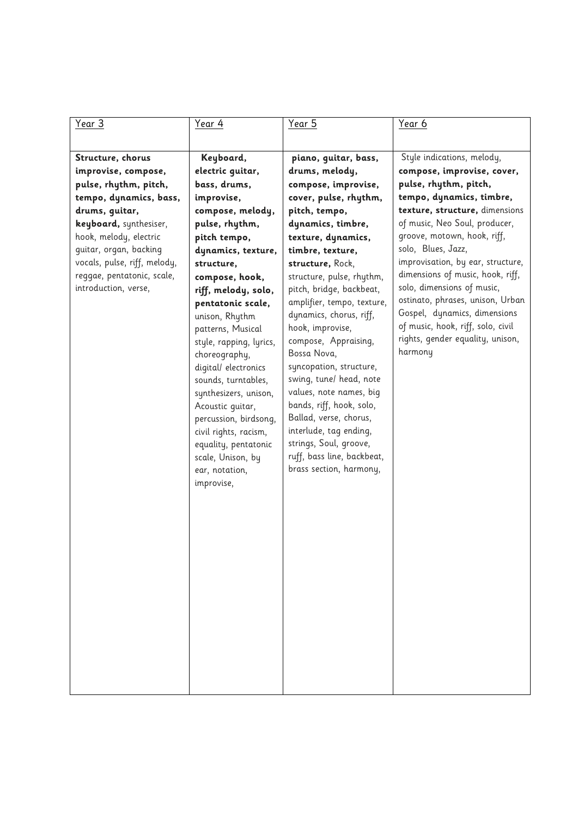| Year 3                       | <u>Year 4</u>           | Year 5                     | Year 6                            |
|------------------------------|-------------------------|----------------------------|-----------------------------------|
|                              |                         |                            |                                   |
| Structure, chorus            | Keyboard,               | piano, guitar, bass,       | Style indications, melody,        |
| improvise, compose,          | electric guitar,        | drums, melody,             | compose, improvise, cover,        |
| pulse, rhythm, pitch,        | bass, drums,            | compose, improvise,        | pulse, rhythm, pitch,             |
| tempo, dynamics, bass,       | improvise,              | cover, pulse, rhythm,      | tempo, dynamics, timbre,          |
| drums, guitar,               | compose, melody,        | pitch, tempo,              | texture, structure, dimensions    |
| keyboard, synthesiser,       | pulse, rhythm,          | dynamics, timbre,          | of music, Neo Soul, producer,     |
| hook, melody, electric       | pitch tempo,            | texture, dynamics,         | groove, motown, hook, riff,       |
| guitar, organ, backing       | dynamics, texture,      | timbre, texture,           | solo, Blues, Jazz,                |
| vocals, pulse, riff, melody, | structure,              | structure, Rock,           | improvisation, by ear, structure, |
| reggae, pentatonic, scale,   | compose, hook,          | structure, pulse, rhythm,  | dimensions of music, hook, riff,  |
| introduction, verse,         | riff, melody, solo,     | pitch, bridge, backbeat,   | solo, dimensions of music,        |
|                              | pentatonic scale,       | amplifier, tempo, texture, | ostinato, phrases, unison, Urban  |
|                              | unison, Rhythm          | dynamics, chorus, riff,    | Gospel, dynamics, dimensions      |
|                              | patterns, Musical       | hook, improvise,           | of music, hook, riff, solo, civil |
|                              | style, rapping, lyrics, | compose, Appraising,       | rights, gender equality, unison,  |
|                              | choreography,           | Bossa Nova,                | harmony                           |
|                              | digital/ electronics    | syncopation, structure,    |                                   |
|                              | sounds, turntables,     | swing, tune/ head, note    |                                   |
|                              | synthesizers, unison,   | values, note names, big    |                                   |
|                              | Acoustic quitar,        | bands, riff, hook, solo,   |                                   |
|                              | percussion, birdsong,   | Ballad, verse, chorus,     |                                   |
|                              | civil rights, racism,   | interlude, tag ending,     |                                   |
|                              | equality, pentatonic    | strings, Soul, groove,     |                                   |
|                              | scale, Unison, by       | ruff, bass line, backbeat, |                                   |
|                              | ear, notation,          | brass section, harmony,    |                                   |
|                              | improvise,              |                            |                                   |
|                              |                         |                            |                                   |
|                              |                         |                            |                                   |
|                              |                         |                            |                                   |
|                              |                         |                            |                                   |
|                              |                         |                            |                                   |
|                              |                         |                            |                                   |
|                              |                         |                            |                                   |
|                              |                         |                            |                                   |
|                              |                         |                            |                                   |
|                              |                         |                            |                                   |
|                              |                         |                            |                                   |
|                              |                         |                            |                                   |
|                              |                         |                            |                                   |
|                              |                         |                            |                                   |
|                              |                         |                            |                                   |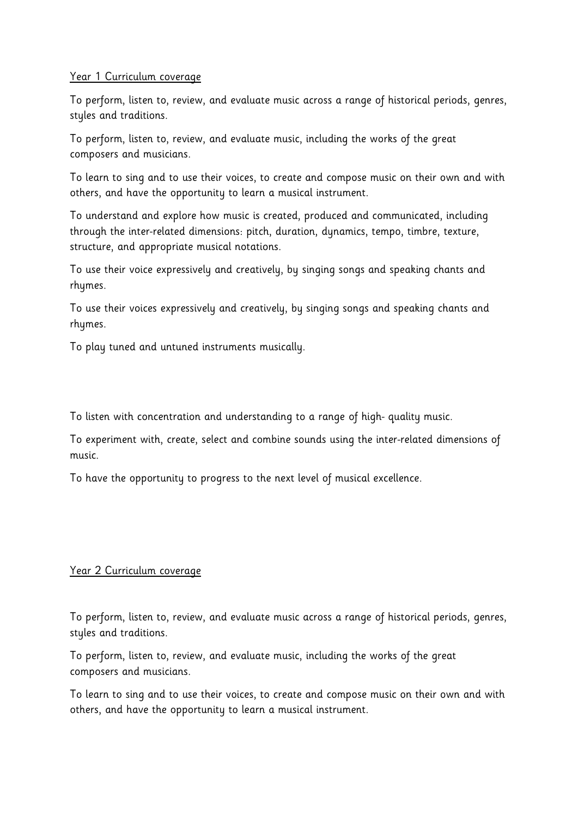### Year 1 Curriculum coverage

To perform, listen to, review, and evaluate music across a range of historical periods, genres, styles and traditions.

To perform, listen to, review, and evaluate music, including the works of the great composers and musicians.

To learn to sing and to use their voices, to create and compose music on their own and with others, and have the opportunity to learn a musical instrument.

To understand and explore how music is created, produced and communicated, including through the inter-related dimensions: pitch, duration, dynamics, tempo, timbre, texture, structure, and appropriate musical notations.

To use their voice expressively and creatively, by singing songs and speaking chants and rhymes.

To use their voices expressively and creatively, by singing songs and speaking chants and rhymes.

To play tuned and untuned instruments musically.

To listen with concentration and understanding to a range of high- quality music.

To experiment with, create, select and combine sounds using the inter-related dimensions of music.

To have the opportunity to progress to the next level of musical excellence.

### Year 2 Curriculum coverage

To perform, listen to, review, and evaluate music across a range of historical periods, genres, styles and traditions.

To perform, listen to, review, and evaluate music, including the works of the great composers and musicians.

To learn to sing and to use their voices, to create and compose music on their own and with others, and have the opportunity to learn a musical instrument.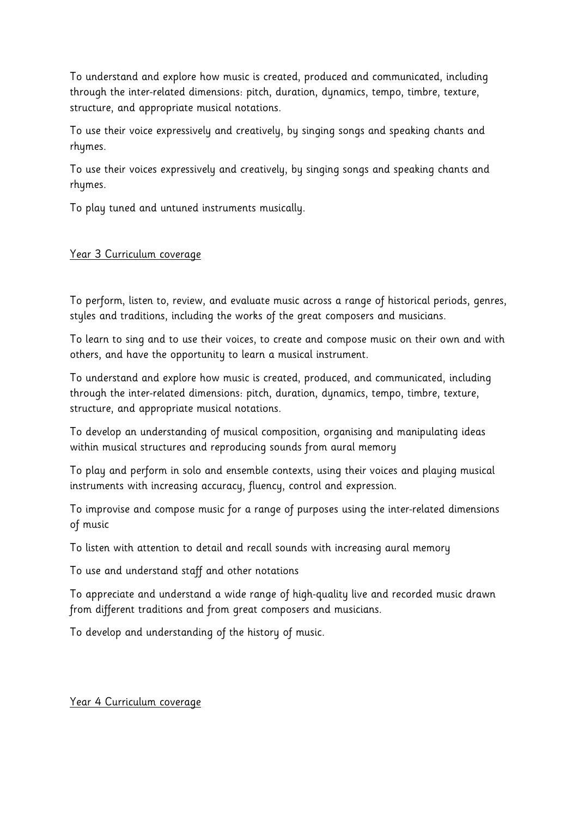To understand and explore how music is created, produced and communicated, including through the inter-related dimensions: pitch, duration, dynamics, tempo, timbre, texture, structure, and appropriate musical notations.

To use their voice expressively and creatively, by singing songs and speaking chants and rhymes.

To use their voices expressively and creatively, by singing songs and speaking chants and rhymes.

To play tuned and untuned instruments musically.

### Year 3 Curriculum coverage

To perform, listen to, review, and evaluate music across a range of historical periods, genres, styles and traditions, including the works of the great composers and musicians.

To learn to sing and to use their voices, to create and compose music on their own and with others, and have the opportunity to learn a musical instrument.

To understand and explore how music is created, produced, and communicated, including through the inter-related dimensions: pitch, duration, dynamics, tempo, timbre, texture, structure, and appropriate musical notations.

To develop an understanding of musical composition, organising and manipulating ideas within musical structures and reproducing sounds from aural memory

To play and perform in solo and ensemble contexts, using their voices and playing musical instruments with increasing accuracy, fluency, control and expression.

To improvise and compose music for a range of purposes using the inter-related dimensions of music

To listen with attention to detail and recall sounds with increasing aural memory

To use and understand staff and other notations

To appreciate and understand a wide range of high-quality live and recorded music drawn from different traditions and from great composers and musicians.

To develop and understanding of the history of music.

### Year 4 Curriculum coverage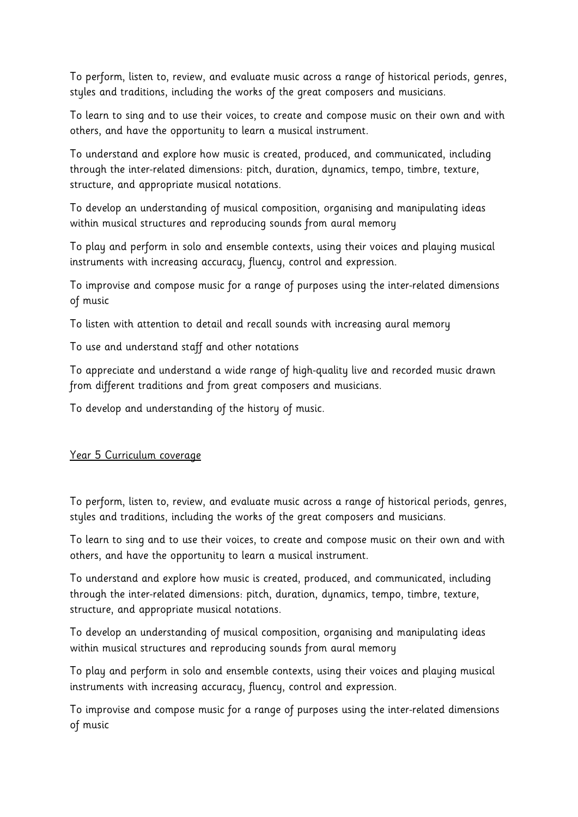To perform, listen to, review, and evaluate music across a range of historical periods, genres, styles and traditions, including the works of the great composers and musicians.

To learn to sing and to use their voices, to create and compose music on their own and with others, and have the opportunity to learn a musical instrument.

To understand and explore how music is created, produced, and communicated, including through the inter-related dimensions: pitch, duration, dynamics, tempo, timbre, texture, structure, and appropriate musical notations.

To develop an understanding of musical composition, organising and manipulating ideas within musical structures and reproducing sounds from aural memory

To play and perform in solo and ensemble contexts, using their voices and playing musical instruments with increasing accuracy, fluency, control and expression.

To improvise and compose music for a range of purposes using the inter-related dimensions of music

To listen with attention to detail and recall sounds with increasing aural memory

To use and understand staff and other notations

To appreciate and understand a wide range of high-quality live and recorded music drawn from different traditions and from great composers and musicians.

To develop and understanding of the history of music.

### Year 5 Curriculum coverage

To perform, listen to, review, and evaluate music across a range of historical periods, genres, styles and traditions, including the works of the great composers and musicians.

To learn to sing and to use their voices, to create and compose music on their own and with others, and have the opportunity to learn a musical instrument.

To understand and explore how music is created, produced, and communicated, including through the inter-related dimensions: pitch, duration, dynamics, tempo, timbre, texture, structure, and appropriate musical notations.

To develop an understanding of musical composition, organising and manipulating ideas within musical structures and reproducing sounds from aural memory

To play and perform in solo and ensemble contexts, using their voices and playing musical instruments with increasing accuracy, fluency, control and expression.

To improvise and compose music for a range of purposes using the inter-related dimensions of music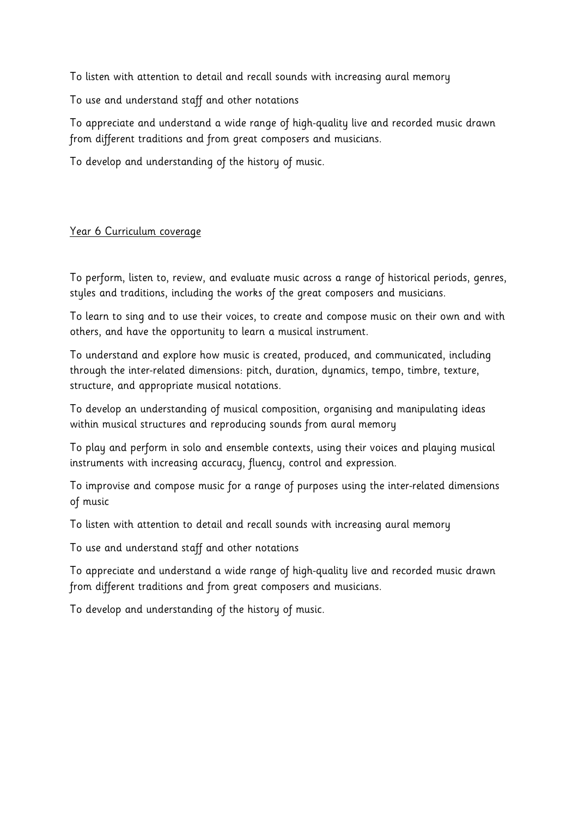To listen with attention to detail and recall sounds with increasing aural memory

To use and understand staff and other notations

To appreciate and understand a wide range of high-quality live and recorded music drawn from different traditions and from great composers and musicians.

To develop and understanding of the history of music.

### Year 6 Curriculum coverage

To perform, listen to, review, and evaluate music across a range of historical periods, genres, styles and traditions, including the works of the great composers and musicians.

To learn to sing and to use their voices, to create and compose music on their own and with others, and have the opportunity to learn a musical instrument.

To understand and explore how music is created, produced, and communicated, including through the inter-related dimensions: pitch, duration, dynamics, tempo, timbre, texture, structure, and appropriate musical notations.

To develop an understanding of musical composition, organising and manipulating ideas within musical structures and reproducing sounds from aural memory

To play and perform in solo and ensemble contexts, using their voices and playing musical instruments with increasing accuracy, fluency, control and expression.

To improvise and compose music for a range of purposes using the inter-related dimensions of music

To listen with attention to detail and recall sounds with increasing aural memory

To use and understand staff and other notations

To appreciate and understand a wide range of high-quality live and recorded music drawn from different traditions and from great composers and musicians.

To develop and understanding of the history of music.